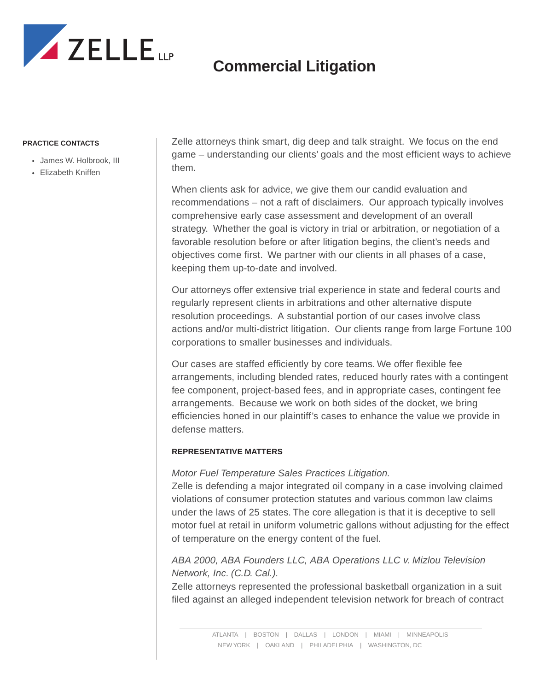

#### **PRACTICE CONTACTS**

- James W. Holbrook, III
- Elizabeth Kniffen

Zelle attorneys think smart, dig deep and talk straight. We focus on the end game – understanding our clients' goals and the most efficient ways to achieve them.

When clients ask for advice, we give them our candid evaluation and recommendations – not a raft of disclaimers. Our approach typically involves comprehensive early case assessment and development of an overall strategy. Whether the goal is victory in trial or arbitration, or negotiation of a favorable resolution before or after litigation begins, the client's needs and objectives come first. We partner with our clients in all phases of a case, keeping them up-to-date and involved.

Our attorneys offer extensive trial experience in state and federal courts and regularly represent clients in arbitrations and other alternative dispute resolution proceedings. A substantial portion of our cases involve class actions and/or multi-district litigation. Our clients range from large Fortune 100 corporations to smaller businesses and individuals.

Our cases are staffed efficiently by core teams. We offer flexible fee arrangements, including blended rates, reduced hourly rates with a contingent fee component, project-based fees, and in appropriate cases, contingent fee arrangements. Because we work on both sides of the docket, we bring efficiencies honed in our plaintiff's cases to enhance the value we provide in defense matters.

#### **REPRESENTATIVE MATTERS**

#### *Motor Fuel Temperature Sales Practices Litigation.*

Zelle is defending a major integrated oil company in a case involving claimed violations of consumer protection statutes and various common law claims under the laws of 25 states. The core allegation is that it is deceptive to sell motor fuel at retail in uniform volumetric gallons without adjusting for the effect of temperature on the energy content of the fuel.

## *ABA 2000, ABA Founders LLC, ABA Operations LLC v. Mizlou Television Network, Inc. (C.D. Cal.).*

Zelle attorneys represented the professional basketball organization in a suit filed against an alleged independent television network for breach of contract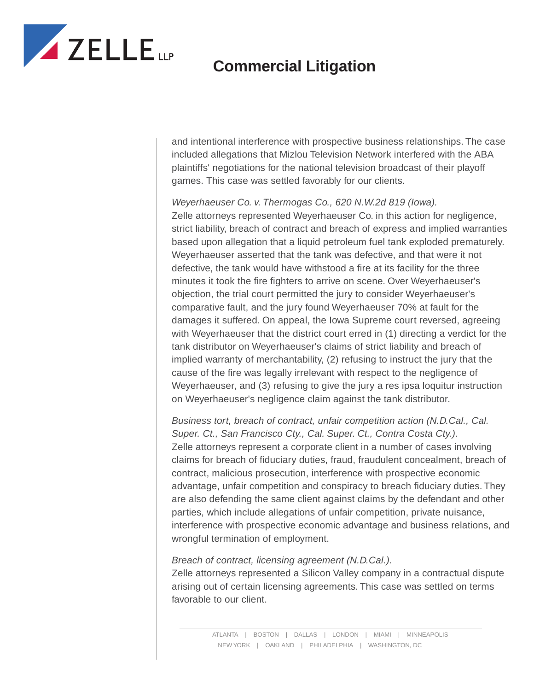

and intentional interference with prospective business relationships. The case included allegations that Mizlou Television Network interfered with the ABA plaintiffs' negotiations for the national television broadcast of their playoff games. This case was settled favorably for our clients.

*Weyerhaeuser Co. v. Thermogas Co., 620 N.W.2d 819 (Iowa).* Zelle attorneys represented Weyerhaeuser Co. in this action for negligence, strict liability, breach of contract and breach of express and implied warranties based upon allegation that a liquid petroleum fuel tank exploded prematurely. Weyerhaeuser asserted that the tank was defective, and that were it not defective, the tank would have withstood a fire at its facility for the three minutes it took the fire fighters to arrive on scene. Over Weyerhaeuser's objection, the trial court permitted the jury to consider Weyerhaeuser's comparative fault, and the jury found Weyerhaeuser 70% at fault for the damages it suffered. On appeal, the Iowa Supreme court reversed, agreeing with Weyerhaeuser that the district court erred in (1) directing a verdict for the tank distributor on Weyerhaeuser's claims of strict liability and breach of implied warranty of merchantability, (2) refusing to instruct the jury that the cause of the fire was legally irrelevant with respect to the negligence of Weyerhaeuser, and (3) refusing to give the jury a res ipsa loquitur instruction on Weyerhaeuser's negligence claim against the tank distributor.

*Business tort, breach of contract, unfair competition action (N.D.Cal., Cal. Super. Ct., San Francisco Cty., Cal. Super. Ct., Contra Costa Cty.).* Zelle attorneys represent a corporate client in a number of cases involving claims for breach of fiduciary duties, fraud, fraudulent concealment, breach of contract, malicious prosecution, interference with prospective economic advantage, unfair competition and conspiracy to breach fiduciary duties. They are also defending the same client against claims by the defendant and other parties, which include allegations of unfair competition, private nuisance, interference with prospective economic advantage and business relations, and wrongful termination of employment.

*Breach of contract, licensing agreement (N.D.Cal.).*

Zelle attorneys represented a Silicon Valley company in a contractual dispute arising out of certain licensing agreements. This case was settled on terms favorable to our client.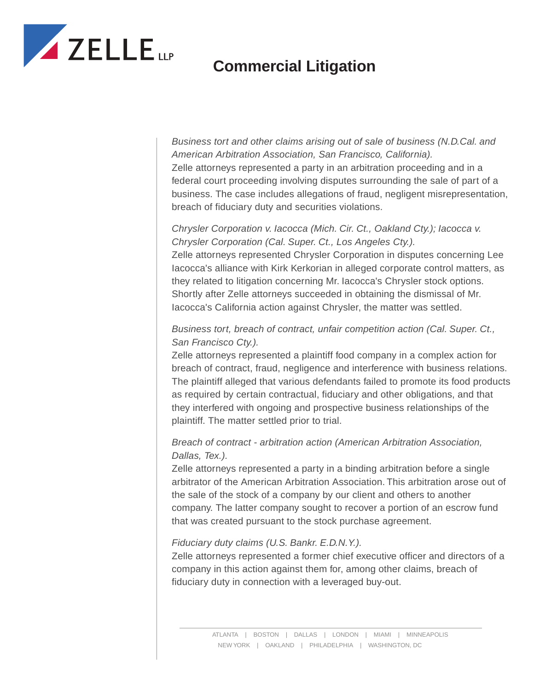

*Business tort and other claims arising out of sale of business (N.D.Cal. and American Arbitration Association, San Francisco, California).* Zelle attorneys represented a party in an arbitration proceeding and in a federal court proceeding involving disputes surrounding the sale of part of a business. The case includes allegations of fraud, negligent misrepresentation, breach of fiduciary duty and securities violations.

#### *Chrysler Corporation v. Iacocca (Mich. Cir. Ct., Oakland Cty.); Iacocca v. Chrysler Corporation (Cal. Super. Ct., Los Angeles Cty.).*

Zelle attorneys represented Chrysler Corporation in disputes concerning Lee Iacocca's alliance with Kirk Kerkorian in alleged corporate control matters, as they related to litigation concerning Mr. Iacocca's Chrysler stock options. Shortly after Zelle attorneys succeeded in obtaining the dismissal of Mr. Iacocca's California action against Chrysler, the matter was settled.

### *Business tort, breach of contract, unfair competition action (Cal. Super. Ct., San Francisco Cty.).*

Zelle attorneys represented a plaintiff food company in a complex action for breach of contract, fraud, negligence and interference with business relations. The plaintiff alleged that various defendants failed to promote its food products as required by certain contractual, fiduciary and other obligations, and that they interfered with ongoing and prospective business relationships of the plaintiff. The matter settled prior to trial.

### *Breach of contract - arbitration action (American Arbitration Association, Dallas, Tex.).*

Zelle attorneys represented a party in a binding arbitration before a single arbitrator of the American Arbitration Association. This arbitration arose out of the sale of the stock of a company by our client and others to another company. The latter company sought to recover a portion of an escrow fund that was created pursuant to the stock purchase agreement.

### *Fiduciary duty claims (U.S. Bankr. E.D.N.Y.).*

Zelle attorneys represented a former chief executive officer and directors of a company in this action against them for, among other claims, breach of fiduciary duty in connection with a leveraged buy-out.